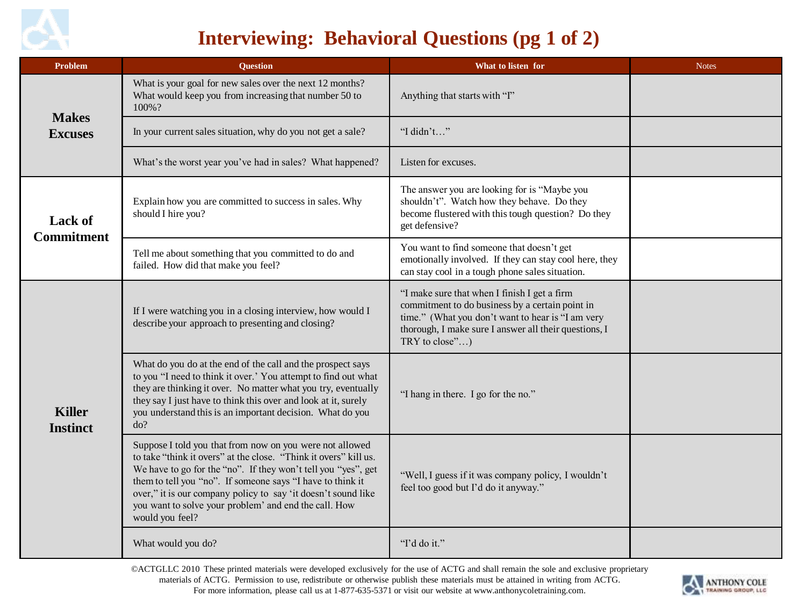

## **Interviewing: Behavioral Questions (pg 1 of 2)**

| <b>Problem</b>                      | <b>Question</b>                                                                                                                                                                                                                                                                                                                                                                                          | What to listen for                                                                                                                                                                                                              | <b>Notes</b> |
|-------------------------------------|----------------------------------------------------------------------------------------------------------------------------------------------------------------------------------------------------------------------------------------------------------------------------------------------------------------------------------------------------------------------------------------------------------|---------------------------------------------------------------------------------------------------------------------------------------------------------------------------------------------------------------------------------|--------------|
| <b>Makes</b><br><b>Excuses</b>      | What is your goal for new sales over the next 12 months?<br>What would keep you from increasing that number 50 to<br>100%?                                                                                                                                                                                                                                                                               | Anything that starts with "I"                                                                                                                                                                                                   |              |
|                                     | In your current sales situation, why do you not get a sale?                                                                                                                                                                                                                                                                                                                                              | "I didn't"                                                                                                                                                                                                                      |              |
|                                     | What's the worst year you've had in sales? What happened?                                                                                                                                                                                                                                                                                                                                                | Listen for excuses.                                                                                                                                                                                                             |              |
| <b>Lack of</b><br><b>Commitment</b> | Explain how you are committed to success in sales. Why<br>should I hire you?                                                                                                                                                                                                                                                                                                                             | The answer you are looking for is "Maybe you<br>shouldn't". Watch how they behave. Do they<br>become flustered with this tough question? Do they<br>get defensive?                                                              |              |
|                                     | Tell me about something that you committed to do and<br>failed. How did that make you feel?                                                                                                                                                                                                                                                                                                              | You want to find someone that doesn't get<br>emotionally involved. If they can stay cool here, they<br>can stay cool in a tough phone sales situation.                                                                          |              |
| <b>Killer</b><br><b>Instinct</b>    | If I were watching you in a closing interview, how would I<br>describe your approach to presenting and closing?                                                                                                                                                                                                                                                                                          | "I make sure that when I finish I get a firm<br>commitment to do business by a certain point in<br>time." (What you don't want to hear is "I am very<br>thorough, I make sure I answer all their questions, I<br>TRY to close") |              |
|                                     | What do you do at the end of the call and the prospect says<br>to you "I need to think it over.' You attempt to find out what<br>they are thinking it over. No matter what you try, eventually<br>they say I just have to think this over and look at it, surely<br>you understand this is an important decision. What do you<br>do?                                                                     | "I hang in there. I go for the no."                                                                                                                                                                                             |              |
|                                     | Suppose I told you that from now on you were not allowed<br>to take "think it overs" at the close. "Think it overs" kill us.<br>We have to go for the "no". If they won't tell you "yes", get<br>them to tell you "no". If someone says "I have to think it<br>over," it is our company policy to say 'it doesn't sound like<br>you want to solve your problem' and end the call. How<br>would you feel? | "Well, I guess if it was company policy, I wouldn't<br>feel too good but I'd do it anyway."                                                                                                                                     |              |
|                                     | What would you do?                                                                                                                                                                                                                                                                                                                                                                                       | "I'd do it."                                                                                                                                                                                                                    |              |

©ACTGLLC 2010 These printed materials were developed exclusively for the use of ACTG and shall remain the sole and exclusive proprietary materials of ACTG. Permission to use, redistribute or otherwise publish these materials must be attained in writing from ACTG. For more information, please call us at 1-877-635-5371 or visit our website at www.anthonycoletraining.com.